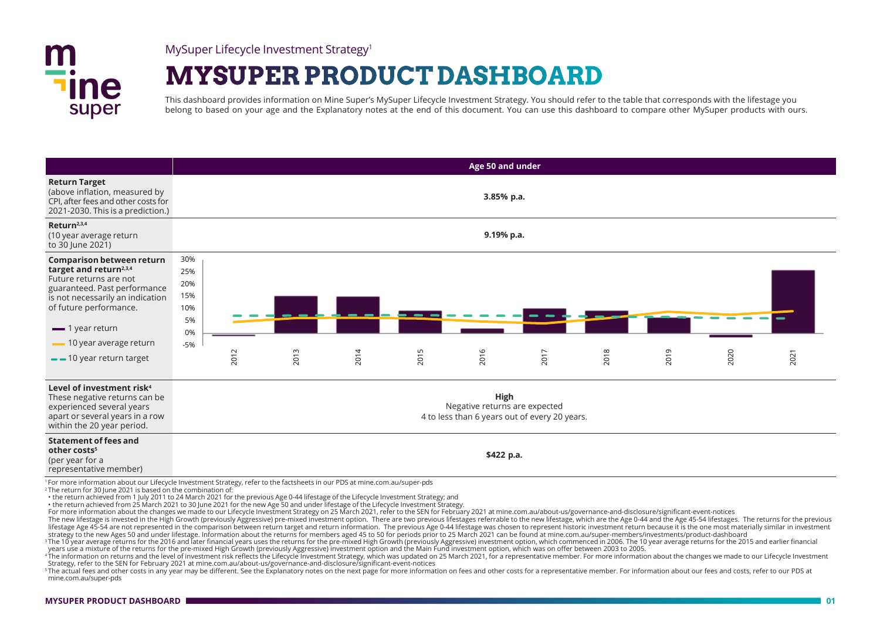

MySuper Lifecycle Investment Strategy1

# **MYSUPER PRODUCT DASHBOARD**

This dashboard provides information on Mine Super's MySuper Lifecycle Investment Strategy. You should refer to the table that corresponds with the lifestage you belong to based on your age and the Explanatory notes at the end of this document. You can use this dashboard to compare other MySuper products with ours.

|                                                                                                                                                                                                                                                    | Age 50 and under                                     |            |      |      |      |                                                                                        |      |      |      |      |      |
|----------------------------------------------------------------------------------------------------------------------------------------------------------------------------------------------------------------------------------------------------|------------------------------------------------------|------------|------|------|------|----------------------------------------------------------------------------------------|------|------|------|------|------|
| <b>Return Target</b>                                                                                                                                                                                                                               |                                                      |            |      |      |      |                                                                                        |      |      |      |      |      |
| (above inflation, measured by<br>CPI, after fees and other costs for<br>2021-2030. This is a prediction.)                                                                                                                                          | 3.85% p.a.                                           |            |      |      |      |                                                                                        |      |      |      |      |      |
| Return <sup>2,3,4</sup><br>(10 year average return<br>to 30 June 2021)                                                                                                                                                                             |                                                      | 9.19% p.a. |      |      |      |                                                                                        |      |      |      |      |      |
| <b>Comparison between return</b><br>target and return <sup>2,3,4</sup><br>Future returns are not<br>guaranteed. Past performance<br>is not necessarily an indication<br>of future performance.<br>$\equiv$ 1 year return<br>10 year average return | 30%<br>25%<br>20%<br>15%<br>10%<br>5%<br>0%<br>$-5%$ |            |      |      |      |                                                                                        |      |      |      |      |      |
| $-$ 10 year return target                                                                                                                                                                                                                          |                                                      | 2012       | 2013 | 2014 | 2015 | 2016                                                                                   | 2017 | 2018 | 2019 | 2020 | 2021 |
| Level of investment risk <sup>4</sup><br>These negative returns can be<br>experienced several years<br>apart or several years in a row<br>within the 20 year period.                                                                               |                                                      |            |      |      |      | High<br>Negative returns are expected<br>4 to less than 6 years out of every 20 years. |      |      |      |      |      |
| <b>Statement of fees and</b><br>other costs <sup>5</sup><br>(per year for a<br>representative member)<br>I For more information about our Lifequele Investment Ctrategy refer to the facts boats in our DDC at mine som aufsuper note              |                                                      |            |      |      |      | \$422 p.a.                                                                             |      |      |      |      |      |

<sup>1</sup> For more information about our Lifecycle Investment Strategy, refer to the factsheets in our PDS at mine.com.au/super-pds

<sup>2</sup> The return for 30 June 2021 is based on the combination of:

• the return achieved from 1 July 2011 to 24 March 2021 for the previous Age 0-44 lifestage of the Lifecycle Investment Strategy; and

• the return achieved from 25 March 2021 to 30 June 2021 for the new Age 50 and under lifestage of the Lifecycle Investment Strategy.

For more information about the changes we made to our Lifecycle Investment Strategy on 25 March 2021, refer to the SEN for February 2021 at mine.com.au/about-us/governance-and-disclosure/significant-event-notices

The new lifestage is invested in the High Growth (previously Aggressive) pre-mixed investment option. There are two previous lifestages referrable to the new lifestage, which are the Age 0-44 and the Age 45-54 lifestages.

The 10 year average returns for the 2016 and later financial years uses the returns for the pre-mixed High Growth (previously Aggressive) investment option, which commenced in 2006. The 10 year average returns for the 2015 years use a mixture of the returns for the pre-mixed High Growth (previously Aggressive) investment option and the Main Fund investment option, which was on offer between 2003 to 2005.

4The information on returns and the level of investment risk reflects the Lifecycle investment Strategy, which was updated on 25 March 2021, for a representative member. For more information about the changes we made to ou Strategy, refer to the SEN for February 2021 at mine.com.au/about-us/governance-and-disclosure/significant-event-notices

5The actual fees and other costs in any year may be different. See the Explanatory notes on the next page for more information on fees and other costs for a representative member. For information about our fees and costs, mine.com.au/super-pds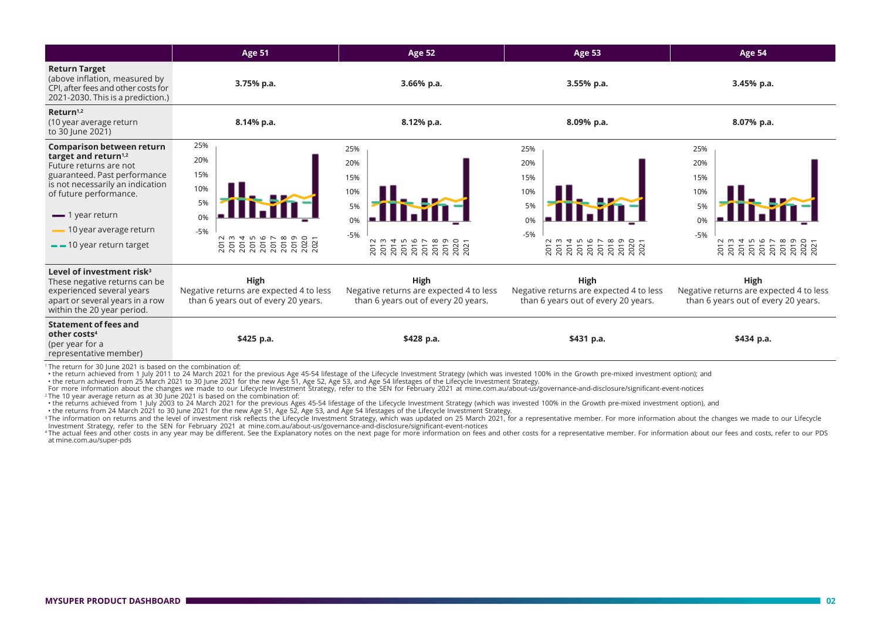|                                                                                                                                                                      | <b>Age 51</b>                                                                          | <b>Age 52</b>                                                                                                     | Age 53                                                                                                    | Age 54                                                                                                                                                       |  |
|----------------------------------------------------------------------------------------------------------------------------------------------------------------------|----------------------------------------------------------------------------------------|-------------------------------------------------------------------------------------------------------------------|-----------------------------------------------------------------------------------------------------------|--------------------------------------------------------------------------------------------------------------------------------------------------------------|--|
| <b>Return Target</b><br>(above inflation, measured by<br>CPI, after fees and other costs for<br>2021-2030. This is a prediction.)                                    | 3.75% p.a.                                                                             | 3.66% p.a.                                                                                                        | 3.55% p.a.                                                                                                | 3.45% p.a.                                                                                                                                                   |  |
| Return <sup>1,2</sup><br>(10 year average return<br>to 30 June 2021)                                                                                                 | 8.14% p.a.                                                                             | 8.12% p.a.                                                                                                        | 8.09% p.a.                                                                                                | 8.07% p.a.                                                                                                                                                   |  |
| <b>Comparison between return</b>                                                                                                                                     | 25%                                                                                    | 25%                                                                                                               | 25%                                                                                                       | 25%                                                                                                                                                          |  |
| target and return <sup>1,2</sup><br>Future returns are not                                                                                                           | 20%                                                                                    | 20%                                                                                                               | 20%                                                                                                       | 20%                                                                                                                                                          |  |
| guaranteed. Past performance                                                                                                                                         | 15%                                                                                    | 15%                                                                                                               | 15%                                                                                                       | 15%                                                                                                                                                          |  |
| is not necessarily an indication<br>of future performance.                                                                                                           | 10%                                                                                    | 10%                                                                                                               | 10%                                                                                                       | 10%                                                                                                                                                          |  |
|                                                                                                                                                                      | 5%                                                                                     | 5%                                                                                                                | 5%                                                                                                        | 5%                                                                                                                                                           |  |
| $\equiv$ 1 year return                                                                                                                                               | 0%                                                                                     | 0%                                                                                                                | 0%                                                                                                        | 0%                                                                                                                                                           |  |
| 10 year average return                                                                                                                                               | $-5%$<br>N<br>m<br>LO.                                                                 | $-5%$                                                                                                             | $-5%$                                                                                                     | $-5%$                                                                                                                                                        |  |
| -10 year return target                                                                                                                                               | 2017<br>2017<br>2018<br>2020<br>2021<br>201<br><b>ZO1</b><br>201<br>201                | <b>NW456</b><br>88<br>5<br><u> គ</u> ្គី គ្គី គ្គី<br>$\circ$<br>$\overleftarrow{C}$<br>$\circ$<br>$\overline{N}$ | и w 4 m<br>G<br>$\infty$<br>$\overline{ }$<br>െ<br>02 T<br>ន្តន្តន្តន<br>5<br>201<br>5<br>$\sim$<br>N N N | 2 w 4 w<br>$\circ$<br>202<br>202<br>$\overline{\sigma}$<br>$\circ$<br>$\circ$<br>$\circ$<br>$\circ$<br>Ò<br>$\circ$<br>$\circ$<br>$\sim$<br>$\sim$<br>$\sim$ |  |
| Level of investment risk <sup>3</sup><br>These negative returns can be<br>experienced several years<br>apart or several years in a row<br>within the 20 year period. | High<br>Negative returns are expected 4 to less<br>than 6 years out of every 20 years. | High<br>Negative returns are expected 4 to less<br>than 6 years out of every 20 years.                            | High<br>Negative returns are expected 4 to less<br>than 6 years out of every 20 years.                    | High<br>Negative returns are expected 4 to less<br>than 6 years out of every 20 years.                                                                       |  |
| <b>Statement of fees and</b><br>other costs <sup>4</sup><br>(per year for a<br>representative member)                                                                | \$425 p.a.                                                                             | \$428 p.a.                                                                                                        | \$431 p.a.                                                                                                | \$434 p.a.                                                                                                                                                   |  |
| <sup>1</sup> The return for 30 lune 2021 is based on the combination of                                                                                              |                                                                                        |                                                                                                                   |                                                                                                           |                                                                                                                                                              |  |

The return for 30 June 2021 is based on the combination of:<br>• the return achieved from 1 July 2011 to 24 March 2021 for the previous Age 45-54 lifestage of the Lifecycle Investment Strategy (which was invested 100% in the

°The 10 year average return as at 30 June 2021 is based on the combination of:<br>•the returns achieved from 1 July 2003 to 24 March 2021 for the previous Ages 45-54 lifestage of the Lifecycle Investment Strategy (which was

• the returns from 24 March 2021 to 30 June 2021 for the new Age 51, Age 52, Age 53, and Age 54 lifestages of the Lifecycle Investment Strategy. <sup>3</sup>The information on returns and the level of investment risk reflects the Lifecycle Investment Strategy, which was updated on 25 March 2021, for a representative member. For more information about the changes we made to

4 The actual fees and other costs in any year may be different. See the Explanatory notes on the next page for more information on fees and other costs for a representative member. For information about our fees and costs, at mine.com.au/super-pds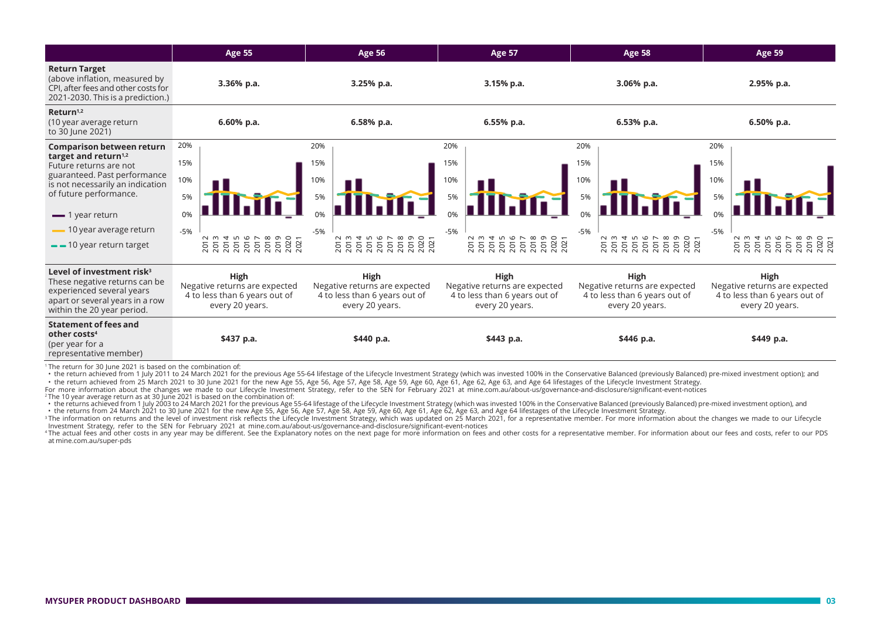|                                                                                                                                                                      | <b>Age 55</b>                                                                                                                                                                                                                                                                                                         | <b>Age 56</b>                                                                                                                                                                                                                                                                                                                         | <b>Age 57</b>                                                                             | <b>Age 58</b>                                                                                        | <b>Age 59</b>                                                                             |  |
|----------------------------------------------------------------------------------------------------------------------------------------------------------------------|-----------------------------------------------------------------------------------------------------------------------------------------------------------------------------------------------------------------------------------------------------------------------------------------------------------------------|---------------------------------------------------------------------------------------------------------------------------------------------------------------------------------------------------------------------------------------------------------------------------------------------------------------------------------------|-------------------------------------------------------------------------------------------|------------------------------------------------------------------------------------------------------|-------------------------------------------------------------------------------------------|--|
| <b>Return Target</b><br>(above inflation, measured by<br>CPI, after fees and other costs for<br>2021-2030. This is a prediction.)                                    | 3.36% p.a.                                                                                                                                                                                                                                                                                                            | 3.25% p.a.                                                                                                                                                                                                                                                                                                                            | 3.15% p.a.                                                                                | 3.06% p.a.                                                                                           | 2.95% p.a.                                                                                |  |
| Return <sup>1,2</sup><br>(10 year average return<br>to 30 June 2021)                                                                                                 | 6.60% p.a.                                                                                                                                                                                                                                                                                                            | 6.58% p.a.                                                                                                                                                                                                                                                                                                                            | 6.55% p.a.                                                                                | 6.53% p.a.                                                                                           | 6.50% p.a.                                                                                |  |
| <b>Comparison between return</b>                                                                                                                                     | 20%                                                                                                                                                                                                                                                                                                                   | 20%                                                                                                                                                                                                                                                                                                                                   | 20%                                                                                       | 20%                                                                                                  | 20%                                                                                       |  |
| target and return <sup>1,2</sup><br>Future returns are not                                                                                                           | 15%                                                                                                                                                                                                                                                                                                                   | 15%                                                                                                                                                                                                                                                                                                                                   | 15%                                                                                       | 15%                                                                                                  | 15%                                                                                       |  |
| guaranteed. Past performance<br>is not necessarily an indication                                                                                                     | 10%                                                                                                                                                                                                                                                                                                                   | 10%                                                                                                                                                                                                                                                                                                                                   | 10%                                                                                       | 10%                                                                                                  | 10%                                                                                       |  |
| of future performance.                                                                                                                                               | 5%                                                                                                                                                                                                                                                                                                                    | 5%                                                                                                                                                                                                                                                                                                                                    | 5%                                                                                        | 5%                                                                                                   | 5%                                                                                        |  |
| $\equiv$ 1 year return                                                                                                                                               | 0%                                                                                                                                                                                                                                                                                                                    |                                                                                                                                                                                                                                                                                                                                       |                                                                                           |                                                                                                      |                                                                                           |  |
| 10 year average return                                                                                                                                               | $-5%$                                                                                                                                                                                                                                                                                                                 | $-5%$                                                                                                                                                                                                                                                                                                                                 | $-5%$                                                                                     | $-5%$                                                                                                | $-5%$                                                                                     |  |
| $-$ 10 year return target                                                                                                                                            | $\begin{array}{l} 2012 \\ 2013 \\ 2014 \\ 2015 \\ 2016 \\ 2017 \\ 2018 \\ 2020 \\ 2021 \\ 2021 \\ 2021 \\ 2021 \\ 2021 \\ 2021 \\ 2031 \\ 204 \\ 204 \\ 205 \\ 204 \\ 205 \\ 206 \\ 207 \\ 208 \\ 209 \\ 209 \\ 201 \\ 201 \\ 202 \\ 203 \\ 204 \\ 204 \\ 205 \\ 206 \\ 208 \\ 209 \\ 209 \\ 209 \\ 209 \\ 209 \\ 20$ | $\begin{array}{l} 2012 \\ 2013 \\ 2014 \\ 2015 \\ 2017 \\ 2017 \\ 2018 \\ 2018 \\ 2018 \\ 2019 \\ 2019 \\ 2019 \\ 2019 \\ 2019 \\ 2019 \\ 2019 \\ 2019 \\ 2019 \\ 2019 \\ 2019 \\ 2019 \\ 2019 \\ 2019 \\ 2019 \\ 2019 \\ 2019 \\ 2019 \\ 2019 \\ 2019 \\ 2019 \\ 2019 \\ 2019 \\ 2019 \\ 2019 \\ 2019 \\ 20$<br>2019<br>2020<br>2021 | 2013<br>2013<br>2015<br>2017<br>2017<br>$\infty$<br>2019<br>2020<br>2021<br>201           | <b>N w 4 r 6 r</b><br>$\infty$<br>2019<br>2020<br>2021<br><u> គ្គី គ្គី គ្គី</u><br>$\overline{201}$ | <b>NW456</b><br>2019<br>2020<br>2021<br>5<br>$\circ$                                      |  |
| Level of investment risk <sup>3</sup><br>These negative returns can be<br>experienced several years<br>apart or several years in a row<br>within the 20 year period. | High<br>Negative returns are expected<br>4 to less than 6 years out of<br>every 20 years.                                                                                                                                                                                                                             | High<br>Negative returns are expected<br>4 to less than 6 years out of<br>every 20 years.                                                                                                                                                                                                                                             | High<br>Negative returns are expected<br>4 to less than 6 years out of<br>every 20 years. | <b>High</b><br>Negative returns are expected<br>4 to less than 6 years out of<br>every 20 years.     | High<br>Negative returns are expected<br>4 to less than 6 years out of<br>every 20 years. |  |
| <b>Statement of fees and</b><br>other costs <sup>4</sup><br>(per year for a<br>representative member)                                                                | \$437 p.a.                                                                                                                                                                                                                                                                                                            | \$440 p.a.                                                                                                                                                                                                                                                                                                                            | \$443 p.a.                                                                                | \$446 p.a.                                                                                           | \$449 p.a.                                                                                |  |

<sup>1</sup> The return for 30 June 2021 is based on the combination of:

• the return achieved from 1 July 2011 to 24 March 2021 for the previous Age 55-64 lifestage of the Lifecycle Investment Strategy (which was invested 100% in the Conservative Balanced (previously Balanced) pre-mixed invest

the return achieved from 25 March 2021 to 30 June 2021 for the new Age 55, Age 56, Age 57, Age 58, Age 59, Age 60, Age 61, Age 62, Age 62, Age 63, and Age 64 lifestages of the Lifecycle Investment Strategy.<br>For more inform

°The 10 year average return as at 30 June 2021 is based on the combination of:<br>• the returns achieved from 1 July 2003 to 24 March 2021 for the previous Age 55-64 lifestage of the Lifecycle Investment Strategy (which was

<sup>3</sup>The information on returns and the level of investment risk reflects the Lifecycle Investment Strategy, which was updated on 25 March 2021, for a representative member. For more information about the changes we made to

at mine.com.au/super-pds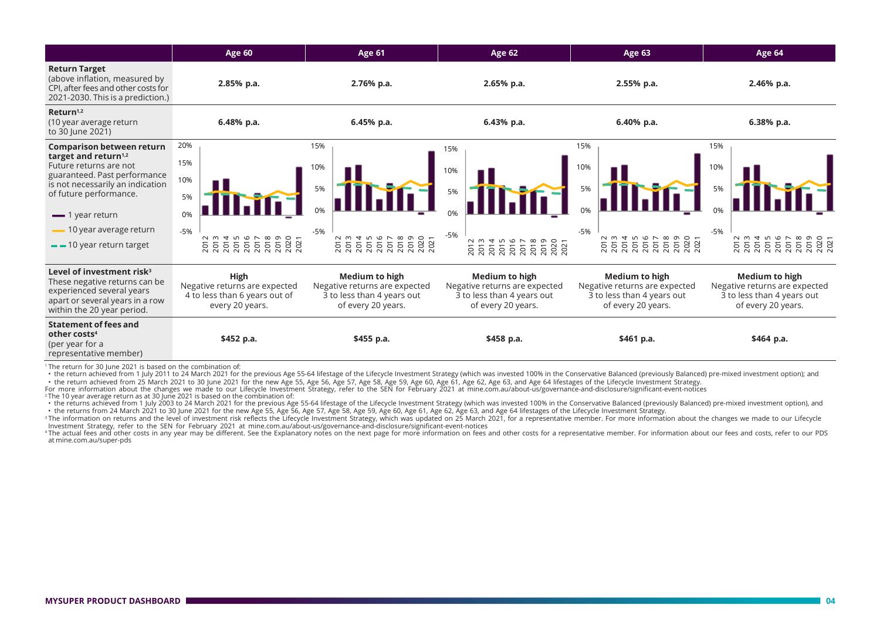|                                                                                                                                                                      | Age 60                                                                                                                                                                                                                                                                                                        | <b>Age 61</b>                                                                                       | <b>Age 62</b>                                                                                       | Age 63                                                                                                                                                                                                                                                                                                        | Age 64                                                                                                                                                                                                                                                                                                        |  |
|----------------------------------------------------------------------------------------------------------------------------------------------------------------------|---------------------------------------------------------------------------------------------------------------------------------------------------------------------------------------------------------------------------------------------------------------------------------------------------------------|-----------------------------------------------------------------------------------------------------|-----------------------------------------------------------------------------------------------------|---------------------------------------------------------------------------------------------------------------------------------------------------------------------------------------------------------------------------------------------------------------------------------------------------------------|---------------------------------------------------------------------------------------------------------------------------------------------------------------------------------------------------------------------------------------------------------------------------------------------------------------|--|
| <b>Return Target</b><br>(above inflation, measured by<br>CPI, after fees and other costs for<br>2021-2030. This is a prediction.)                                    | 2.85% p.a.                                                                                                                                                                                                                                                                                                    | 2.76% p.a.                                                                                          | 2.65% p.a.                                                                                          | 2.55% p.a.                                                                                                                                                                                                                                                                                                    | 2.46% p.a.                                                                                                                                                                                                                                                                                                    |  |
| Return <sup>1,2</sup><br>(10 year average return<br>to 30 June 2021)                                                                                                 | 6.48% p.a.                                                                                                                                                                                                                                                                                                    | 6.45% p.a.                                                                                          | 6.43% p.a.                                                                                          | 6.40% p.a.                                                                                                                                                                                                                                                                                                    | $6.38%$ p.a.                                                                                                                                                                                                                                                                                                  |  |
| <b>Comparison between return</b>                                                                                                                                     | 20%                                                                                                                                                                                                                                                                                                           | 15%                                                                                                 | 15%                                                                                                 | 15%                                                                                                                                                                                                                                                                                                           | 15%                                                                                                                                                                                                                                                                                                           |  |
| target and return <sup><math>1,2</math></sup><br>Future returns are not                                                                                              | 15%                                                                                                                                                                                                                                                                                                           | 10%                                                                                                 | 10%                                                                                                 | 10%                                                                                                                                                                                                                                                                                                           | 10%                                                                                                                                                                                                                                                                                                           |  |
| guaranteed. Past performance<br>is not necessarily an indication                                                                                                     | 10%                                                                                                                                                                                                                                                                                                           |                                                                                                     |                                                                                                     |                                                                                                                                                                                                                                                                                                               |                                                                                                                                                                                                                                                                                                               |  |
| of future performance.                                                                                                                                               | 5%                                                                                                                                                                                                                                                                                                            | 5%                                                                                                  | 5%                                                                                                  | 5%                                                                                                                                                                                                                                                                                                            | 5%                                                                                                                                                                                                                                                                                                            |  |
| $\equiv$ 1 year return                                                                                                                                               | 0%                                                                                                                                                                                                                                                                                                            |                                                                                                     |                                                                                                     |                                                                                                                                                                                                                                                                                                               |                                                                                                                                                                                                                                                                                                               |  |
| 10 year average return                                                                                                                                               | $-5%$                                                                                                                                                                                                                                                                                                         | $-5%$                                                                                               | $-5%$                                                                                               | $-5%$                                                                                                                                                                                                                                                                                                         | $-5%$                                                                                                                                                                                                                                                                                                         |  |
| $-$ 10 year return target                                                                                                                                            | $\begin{array}{l} 2012 \\ 2013 \\ 2014 \\ 2015 \\ 2016 \\ 2017 \\ 2018 \\ 2019 \\ 2020 \\ 2021 \\ 2021 \\ 2021 \\ 2021 \\ 2021 \\ 2021 \\ 2021 \\ 2021 \\ 2021 \\ 2021 \\ 2021 \\ 2021 \\ 2021 \\ 2021 \\ 2022 \\ 2022 \\ 2023 \\ 2023 \\ 2024 \\ 2024 \\ 2023 \\ 2024 \\ 2024 \\ 2024 \\ 2024 \\ 2024 \\ 20$ | $20124888888887\\ 2014888888887\\ 2014888888888\\ 2021$                                             | <b>NW456</b><br>$\infty$<br>$\overline{ }$<br>$\circ$ $\circ$ $\sim$                                | $\begin{array}{l} 2012 \\ 2013 \\ 2014 \\ 2015 \\ 2016 \\ 2017 \\ 2018 \\ 2020 \\ 2021 \\ 2021 \\ 2021 \\ 2021 \\ 2021 \\ 2021 \\ 2021 \\ 2021 \\ 2021 \\ 2021 \\ 2021 \\ 2021 \\ 2021 \\ 2021 \\ 2022 \\ 2022 \\ 2023 \\ 2023 \\ 2024 \\ 2024 \\ 2023 \\ 2024 \\ 2024 \\ 2024 \\ 2024 \\ 2024 \\ 2024 \\ 20$ | $\begin{array}{l} 217 \\ 2017 \\ 2101 \\ 2101 \\ 2101 \\ 2101 \\ 2101 \\ 2101 \\ 2101 \\ 2101 \\ 2101 \\ 2101 \\ 2101 \\ 2101 \\ 2101 \\ 2101 \\ 2101 \\ 2101 \\ 2101 \\ 2101 \\ 2101 \\ 2101 \\ 2101 \\ 2101 \\ 2101 \\ 2101 \\ 2101 \\ 2101 \\ 2101 \\ 2101 \\ 2101 \\ 2101 \\ 2101 \\ 2101 \\ 2101 \\ 210$ |  |
| Level of investment risk <sup>3</sup><br>These negative returns can be<br>experienced several years<br>apart or several years in a row<br>within the 20 year period. | High<br>Negative returns are expected<br>4 to less than 6 years out of<br>every 20 years.                                                                                                                                                                                                                     | Medium to high<br>Negative returns are expected<br>3 to less than 4 years out<br>of every 20 years. | Medium to high<br>Negative returns are expected<br>3 to less than 4 years out<br>of every 20 years. | Medium to high<br>Negative returns are expected<br>3 to less than 4 years out<br>of every 20 years.                                                                                                                                                                                                           | Medium to high<br>Negative returns are expected<br>3 to less than 4 years out<br>of every 20 years.                                                                                                                                                                                                           |  |
| <b>Statement of fees and</b><br>other costs <sup>4</sup><br>(per year for a<br>representative member)                                                                | \$452 p.a.                                                                                                                                                                                                                                                                                                    | \$455 p.a.                                                                                          | \$458 p.a.                                                                                          | \$461 p.a.                                                                                                                                                                                                                                                                                                    | \$464 p.a.                                                                                                                                                                                                                                                                                                    |  |

<sup>1</sup> The return for 30 June 2021 is based on the combination of:

• the return achieved from 1 July 2011 to 24 March 2021 for the previous Age 55-64 lifestage of the Lifecycle Investment Strategy (which was invested 100% in the Conservative Balanced (previously Balanced) pre-mixed invest

• the return achieved from 25 March 2021 to 30 June 2021 for the new Age 55, Age 56, Age 57, Age 58, Age 59, Age 60, Age 61, Age 62, Age 63, and Age 64 lifestages of the Lifecycle Investment Strategy.<br>For more information

. the returns achieved from 1 July 2003 to 24 March 2021 for the previous Age 55-64 lifestage of the Lifecycle Investment Strategy (which was invested 100% in the Conservative Balanced (previously Balanced) pre-mixed inves • the returns from 24 March 2021 to 30 June 2021 for the new Age 55, Age 56, Age 57, Age 58, Age 59, Age 60, Age 61, Age 62, Age 63, and Age 64 lifestages of the Lifecycle Investment Strategy.

<sup>3</sup>The information on returns and the level of investment risk reflects the Lifecycle Investment Strategy, which was updated on 25 March 2021, for a representative member. For more information about the changes we made to

<sup>4</sup>The actual fees and other costs in any year may be different. See the Explanatory notes on the next page for more information on fees and other costs for a representative member. For information about our fees and costs at mine.com.au/super-pds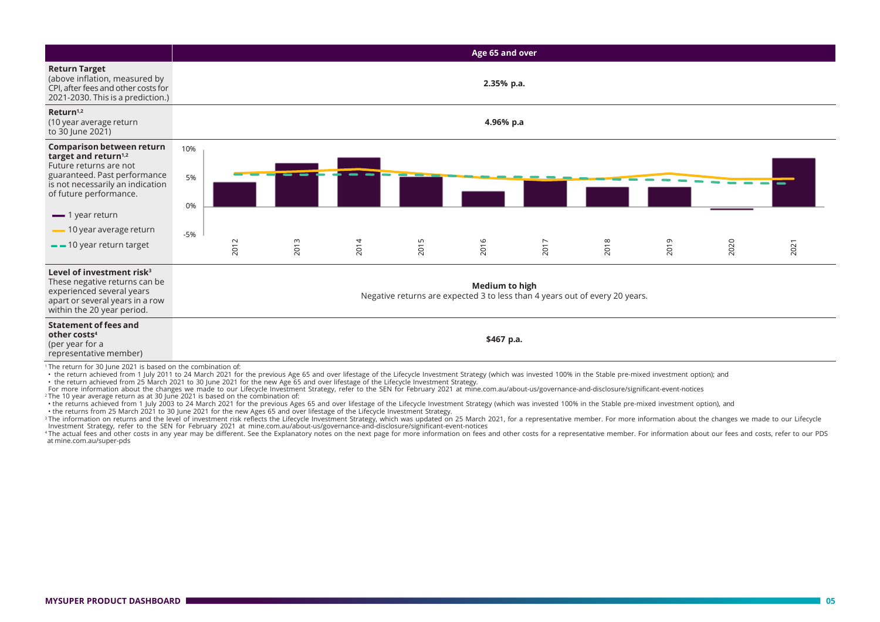|                                                                                                                                                                                                            | Age 65 and over                                                                                      |           |      |      |      |      |      |      |      |      |      |
|------------------------------------------------------------------------------------------------------------------------------------------------------------------------------------------------------------|------------------------------------------------------------------------------------------------------|-----------|------|------|------|------|------|------|------|------|------|
| <b>Return Target</b><br>(above inflation, measured by<br>CPI, after fees and other costs for<br>2021-2030. This is a prediction.)                                                                          | 2.35% p.a.                                                                                           |           |      |      |      |      |      |      |      |      |      |
| Return <sup>1,2</sup><br>(10 year average return<br>to 30 June 2021)                                                                                                                                       |                                                                                                      | 4.96% p.a |      |      |      |      |      |      |      |      |      |
| <b>Comparison between return</b><br>target and return <sup>1,2</sup><br>Future returns are not                                                                                                             | 10%                                                                                                  |           |      |      |      |      |      |      |      |      |      |
| guaranteed. Past performance<br>is not necessarily an indication<br>of future performance.                                                                                                                 | 5%<br>0%                                                                                             |           |      |      |      |      |      |      |      |      |      |
| $\equiv$ 1 year return                                                                                                                                                                                     |                                                                                                      |           |      |      |      |      |      |      |      |      |      |
| -10 year average return                                                                                                                                                                                    | $-5%$                                                                                                |           |      |      |      |      |      |      |      |      |      |
| $-$ 10 year return target                                                                                                                                                                                  |                                                                                                      | 2012      | 2013 | 2014 | 2015 | 2016 | 2017 | 2018 | 2019 | 2020 | 2021 |
| Level of investment risk <sup>3</sup><br>These negative returns can be<br>experienced several years<br>apart or several years in a row<br>within the 20 year period.                                       | <b>Medium to high</b><br>Negative returns are expected 3 to less than 4 years out of every 20 years. |           |      |      |      |      |      |      |      |      |      |
| <b>Statement of fees and</b><br>other costs <sup>4</sup><br>(per year for a<br>representative member)<br>$\tau$ . The continues from $\tau$ $\alpha$ the second to be a second order to be a set of $\tau$ | \$467 p.a.                                                                                           |           |      |      |      |      |      |      |      |      |      |

<sup>1</sup> The return for 30 June 2021 is based on the combination of:

• the return achieved from 1 July 2011 to 24 March 2021 for the previous Age 65 and over lifestage of the Lifecycle Investment Strategy (which was invested 100% in the Stable pre-mixed investment option); and

• the return achieved from 25 March 2021 to 30 June 2021 for the new Age 65 and over lifestage of the Lifecycle Investment Strategy.

For more information about the changes we made to our Lifecycle Investment Strategy, refer to the SEN for February 2021 at mine.com.au/about-us/governance-and-disclosure/significant-event-notices<br>^The 10 year average retur

• the returns achieved from 1 July 2003 to 24 March 2021 for the previous Ages 65 and over lifestage of the Lifecycle Investment Strategy (which was invested 100% in the Stable pre-mixed investment option), and<br>• the retur

<sup>3</sup>The information on returns and the level of investment risk reflects the Lifecycle Investment Strategy, which was updated on 25 March 2021, for a representative member. For more information about the changes we made to

4 The actual fees and other costs in any year may be different. See the Explanatory notes on the next page for more information on fees and other costs for a representative member. For information about our fees and costs, at mine.com.au/super-pds